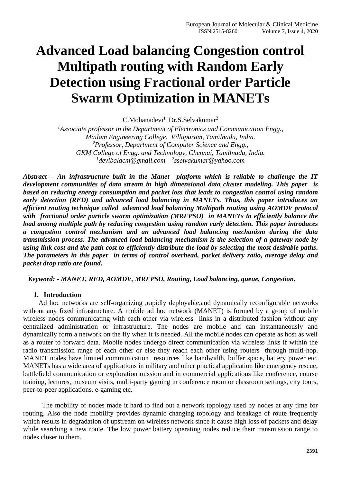# **Advanced Load balancing Congestion control Multipath routing with Random Early Detection using Fractional order Particle Swarm Optimization in MANETs**

C.Mohanadevi<sup>1</sup> Dr.S.Selvakumar<sup>2</sup>

*<sup>1</sup>Associate professor in the Department of Electronics and Communication Engg., Mailam Engineering College, Villupuram, Tamilnadu, India. <sup>2</sup>Professor, Department of Computer Science and Engg., GKM College of Engg. and Technology, Chennai, Tamilnadu, India. 1 devibalacm@gmail.com <sup>2</sup> sselvakumar@yahoo.com*

*Abstract— An infrastructure built in the Manet platform which is reliable to challenge the IT development communities of data stream in high dimensional data cluster modeling. This paper is based on reducing energy consumption and packet loss that leads to congestion control using random early detection (RED) and advanced load balancing in MANETs. Thus, this paper introduces an efficient routing technique called advanced load balancing Multipath routing using AOMDV protocol with fractional order particle swarm optimization (MRFPSO) in MANETs to efficiently balance the load among multiple path by reducing congestion using random early detection. This paper introduces a congestion control mechanism and an advanced load balancing mechanism during the data transmission process. The advanced load balancing mechanism is the selection of a gateway node by using link cost and the path cost to efficiently distribute the load by selecting the most desirable paths. The parameters in this paper in terms of control overhead, packet delivery ratio, average delay and packet drop ratio are found.*

*Keyword: - MANET, RED, AOMDV, MRFPSO, Routing, Load balancing, queue, Congestion.*

## **1. Introduction**

 Ad hoc networks are self-organizing ,rapidly deployable,and dynamically reconfigurable networks without any fixed infrastructure. A mobile ad hoc network (MANET) is formed by a group of mobile wireless nodes communicating with each other via wireless links in a distributed fashion without any centralized administration or infrastructure. The nodes are mobile and can instantaneously and dynamically form a network on the fly when it is needed. All the mobile nodes can operate as host as well as a router to forward data. Mobile nodes undergo direct communication via wireless links if within the radio transmission range of each other or else they reach each other using routers through multi-hop. MANET nodes have limited communication resources like bandwidth, buffer space, battery power etc. MANETs has a wide area of applications in military and other practical application like emergency rescue, battlefield communication or exploration mission and in commercial applications like conference, course training, lectures, museum visits, multi-party gaming in conference room or classroom settings, city tours, peer-to-peer applications, e-gaming etc.

 The mobility of nodes made it hard to find out a network topology used by nodes at any time for routing. Also the node mobility provides dynamic changing topology and breakage of route frequently which results in degradation of upstream on wireless network since it cause high loss of packets and delay while searching a new route. The low power battery operating nodes reduce their transmission range to nodes closer to them.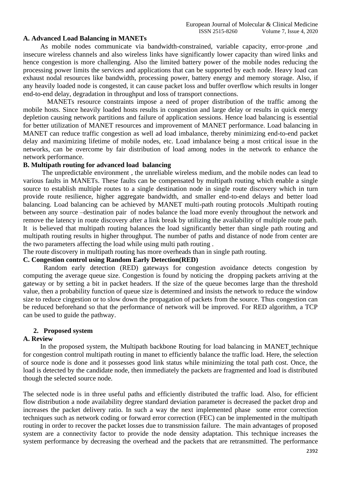### **A. Advanced Load Balancing in MANETs**

 As mobile nodes communicate via bandwidth-constrained, variable capacity, error-prone ,and insecure wireless channels and also wireless links have significantly lower capacity than wired links and hence congestion is more challenging. Also the limited battery power of the mobile nodes reducing the processing power limits the services and applications that can be supported by each node. Heavy load can exhaust nodal resources like bandwidth, processing power, battery energy and memory storage. Also, if any heavily loaded node is congested, it can cause packet loss and buffer overflow which results in longer end-to-end delay, degradation in throughput and loss of transport connections.

 MANETs resource constraints impose a need of proper distribution of the traffic among the mobile hosts. Since heavily loaded hosts results in congestion and large delay or results in quick energy depletion causing network partitions and failure of application sessions. Hence load balancing is essential for better utilization of MANET resources and improvement of MANET performance. Load balancing in MANET can reduce traffic congestion as well ad load imbalance, thereby minimizing end-to-end packet delay and maximizing lifetime of mobile nodes, etc. Load imbalance being a most critical issue in the networks, can be overcome by fair distribution of load among nodes in the network to enhance the network performance.

## **B. Multipath routing for advanced load balancing**

 The unpredictable environment , the unreliable wireless medium, and the mobile nodes can lead to various faults in MANETs. These faults can be compensated by multipath routing which enable a single source to establish multiple routes to a single destination node in single route discovery which in turn provide route resilience, higher aggregate bandwidth, and smaller end-to-end delays and better load balancing. Load balancing can be achieved by MANET multi-path routing protocols .Multipath routing between any source –destination pair of nodes balance the load more evenly throughout the network and remove the latency in route discovery after a link break by utilizing the availability of multiple route path. It is believed that multipath routing balances the load significantly better than single path routing and multipath routing results in higher throughput. The number of paths and distance of node from center are the two parameters affecting the load while using multi path routing .

The route discovery in multipath routing has more overheads than in single path routing.

## **C. Congestion control using Random Early Detection(RED)**

Random early detection (RED) gateways for congestion avoidance detects congestion by computing the average queue size. Congestion is found by noticing the dropping packets arriving at the gateway or by setting a bit in packet headers. If the size of the queue becomes large than the threshold value, then a probability function of queue size is determined and insists the network to reduce the window size to reduce cingestion or to slow down the propagation of packets from the source. Thus congestion can be reduced beforehand so that the performance of network will be improved. For RED algorithm, a TCP can be used to guide the pathway.

#### **2. Proposed system**

## **A. Review**

 In the proposed system, the Multipath backbone Routing for load balancing in MANET technique for congestion control multipath routing in manet to efficiently balance the traffic load. Here, the selection of source node is done and it possesses good link status while minimizing the total path cost. Once, the load is detected by the candidate node, then immediately the packets are fragmented and load is distributed though the selected source node.

The selected node is in three useful paths and efficiently distributed the traffic load. Also, for efficient flow distribution a node availability degree standard deviation parameter is decreased the packet drop and increases the packet delivery ratio. In such a way the next implemented phase some error correction techniques such as network coding or forward error correction (FEC) can be implemented in the multipath routing in order to recover the packet losses due to transmission failure. The main advantages of proposed system are a connectivity factor to provide the node density adaptation. This technique increases the system performance by decreasing the overhead and the packets that are retransmitted. The performance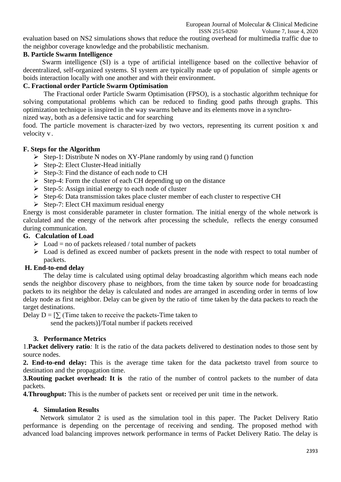Volume 7, Issue 4, 2020 evaluation based on NS2 simulations shows that reduce the routing overhead for multimedia traffic due to the neighbor coverage knowledge and the probabilistic mechanism.

# **B. Particle Swarm Intelligence**

 Swarm intelligence (SI) is a type of artificial intelligence based on the collective behavior of decentralized, self-organized systems. SI system are typically made up of population of simple agents or boids interaction locally with one another and with their environment.

# **C. Fractional order Particle Swarm Optimisation**

The Fractional order Particle Swarm Optimisation (FPSO), is a stochastic algorithm technique for solving computational problems which can be reduced to finding good paths through graphs. This optimization technique is inspired in the way swarms behave and its elements move in a synchronized way, both as a defensive tactic and for searching

food. The particle movement is character-ized by two vectors, representing its current position x and velocity v .

# **F. Steps for the Algorithm**

- $\triangleright$  Step-1: Distribute N nodes on XY-Plane randomly by using rand () function
- ➢ Step-2: Elect Cluster-Head initially
- ➢ Step-3: Find the distance of each node to CH
- $\triangleright$  Step-4: Form the cluster of each CH depending up on the distance
- $\triangleright$  Step-5: Assign initial energy to each node of cluster
- ➢ Step-6: Data transmission takes place cluster member of each cluster to respective CH
- $\triangleright$  Step-7: Elect CH maximum residual energy

Energy is most considerable parameter in cluster formation. The initial energy of the whole network is calculated and the energy of the network after processing the schedule, reflects the energy consumed during communication.

# **G. Calculation of Load**

- $\triangleright$  Load = no of packets released / total number of packets
- ➢ Load is defined as exceed number of packets present in the node with respect to total number of packets.

# **H. End-to-end delay**

The delay time is calculated using optimal delay broadcasting algorithm which means each node sends the neighbor discovery phase to neighbors, from the time taken by source node for broadcasting packets to its neighbor the delay is calculated and nodes are arranged in ascending order in terms of low delay node as first neighbor. Delay can be given by the ratio of time taken by the data packets to reach the target destinations.

Delay  $D = \sum_{n=1}^{\infty} T^n$  (Time taken to receive the packets-Time taken to

send the packets)]/Total number if packets received

# **3. Performance Metrics**

1.**Packet delivery ratio***:* It is the ratio of the data packets delivered to destination nodes to those sent by source nodes.

**2. End-to-end delay:** This is the average time taken for the data packetsto travel from source to destination and the propagation time.

**3. Routing packet overhead: It is** the ratio of the number of control packets to the number of data packets.

**4. Throughput:** This is the *n*umber of packets sent or received per unit time in the network.

# **4. Simulation Results**

 Network simulator 2 is used as the simulation tool in this paper. The Packet Delivery Ratio performance is depending on the percentage of receiving and sending. The proposed method with advanced load balancing improves network performance in terms of Packet Delivery Ratio. The delay is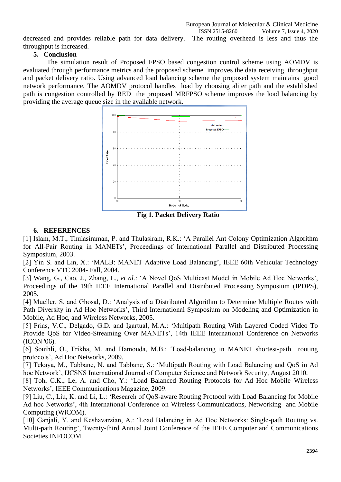decreased and provides reliable path for data delivery. The routing overhead is less and thus the throughput is increased.

## **5. Conclusion**

 The simulation result of Proposed FPSO based congestion control scheme using AOMDV is evaluated through performance metrics and the proposed scheme improves the data receiving, throughput and packet delivery ratio. Using advanced load balancing scheme the proposed system maintains good network performance. The AOMDV protocol handles load by choosing aliter path and the established path is congestion controlled by RED the proposed MRFPSO scheme improves the load balancing by providing the average queue size in the available network.



 **Fig 1. Packet Delivery Ratio**

# **6. REFERENCES**

[1] Islam, M.T., Thulasiraman, P. and Thulasiram, R.K.: 'A Parallel Ant Colony Optimization Algorithm for All-Pair Routing in MANETs', Proceedings of International Parallel and Distributed Processing Symposium, 2003.

[2] Yin S. and Lin, X.: 'MALB: MANET Adaptive Load Balancing', IEEE 60th Vehicular Technology Conference VTC 2004- Fall, 2004.

[3] Wang, G., Cao, J., Zhang, L., *et al*.: 'A Novel QoS Multicast Model in Mobile Ad Hoc Networks', Proceedings of the 19th IEEE International Parallel and Distributed Processing Symposium (IPDPS), 2005.

[4] Mueller, S. and Ghosal, D.: 'Analysis of a Distributed Algorithm to Determine Multiple Routes with Path Diversity in Ad Hoc Networks', Third International Symposium on Modeling and Optimization in Mobile, Ad Hoc, and Wireless Networks, 2005.

[5] Frias, V.C., Delgado, G.D. and Igartual, M.A.: 'Multipath Routing With Layered Coded Video To Provide QoS for Video-Streaming Over MANETs', 14th IEEE International Conference on Networks (ICON '06).

[6] Souihli, O., Frikha, M. and Hamouda, M.B.: 'Load-balancing in MANET shortest-path routing protocols', Ad Hoc Networks, 2009.

[7] Tekaya, M., Tabbane, N. and Tabbane, S.: 'Multipath Routing with Load Balancing and QoS in Ad hoc Network', IJCSNS International Journal of Computer Science and Network Security, August 2010.

[8] Toh, C.K., Le, A. and Cho, Y.: 'Load Balanced Routing Protocols for Ad Hoc Mobile Wireless Networks', IEEE Communications Magazine, 2009.

[9] Liu, C., Liu, K. and Li, L.: 'Research of QoS-aware Routing Protocol with Load Balancing for Mobile Ad hoc Networks', 4th International Conference on Wireless Communications, Networking and Mobile Computing (WiCOM).

[10] Ganjali, Y. and Keshavarzian, A.: 'Load Balancing in Ad Hoc Networks: Single-path Routing vs. Multi-path Routing', Twenty-third Annual Joint Conference of the IEEE Computer and Communications Societies INFOCOM.